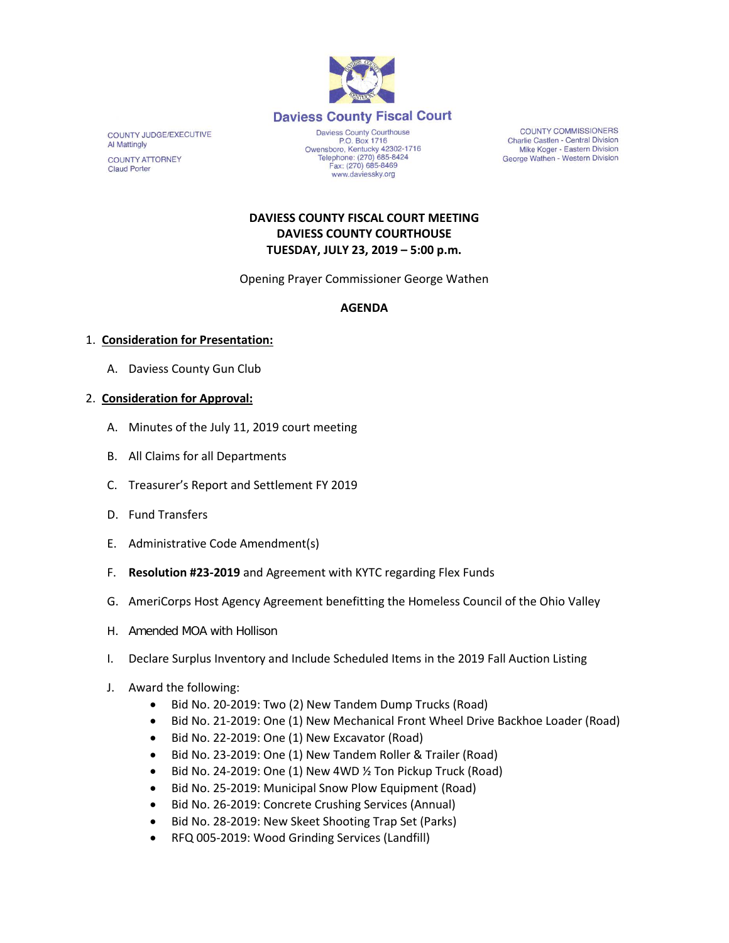

COUNTY JUDGE/EXECUTIVE **Al Mattingly COUNTY ATTORNEY Claud Porter** 

Daviess County Courthouse P.O. Box 1716 P.O. Box 1716<br>Owensboro, Kentucky 42302-1716<br>Telephone: (270) 685-8424 Fax: (270) 685-8469 www.daviessky.org

**COUNTY COMMISSIONERS** Charlie Castlen - Central Division Mike Koger - Eastern Division George Wathen - Western Division

# **DAVIESS COUNTY FISCAL COURT MEETING DAVIESS COUNTY COURTHOUSE TUESDAY, JULY 23, 2019 – 5:00 p.m.**

Opening Prayer Commissioner George Wathen

### **AGENDA**

### 1. **Consideration for Presentation:**

A. Daviess County Gun Club

### 2. **Consideration for Approval:**

- A. Minutes of the July 11, 2019 court meeting
- B. All Claims for all Departments
- C. Treasurer's Report and Settlement FY 2019
- D. Fund Transfers
- E. Administrative Code Amendment(s)
- F. **Resolution #23-2019** and Agreement with KYTC regarding Flex Funds
- G. AmeriCorps Host Agency Agreement benefitting the Homeless Council of the Ohio Valley
- H. Amended MOA with Hollison
- I. Declare Surplus Inventory and Include Scheduled Items in the 2019 Fall Auction Listing
- J. Award the following:
	- Bid No. 20-2019: Two (2) New Tandem Dump Trucks (Road)
	- Bid No. 21-2019: One (1) New Mechanical Front Wheel Drive Backhoe Loader (Road)
	- Bid No. 22-2019: One (1) New Excavator (Road)
	- Bid No. 23-2019: One (1) New Tandem Roller & Trailer (Road)
	- Bid No. 24-2019: One (1) New 4WD ½ Ton Pickup Truck (Road)
	- Bid No. 25-2019: Municipal Snow Plow Equipment (Road)
	- Bid No. 26-2019: Concrete Crushing Services (Annual)
	- Bid No. 28-2019: New Skeet Shooting Trap Set (Parks)
	- RFQ 005-2019: Wood Grinding Services (Landfill)